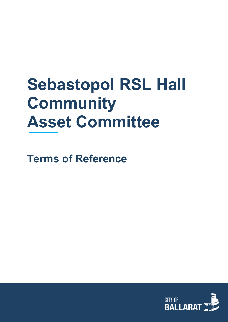# **Sebastopol RSL Hall Community Asset Committee**

**Terms of Reference**

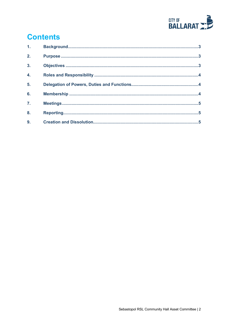

# **Contents**

| 1 <sub>1</sub>   |  |
|------------------|--|
| 2.               |  |
| $\overline{3}$ . |  |
| 4.               |  |
| 5.               |  |
| 6.               |  |
| $\overline{7}$ . |  |
| 8.               |  |
| 9.               |  |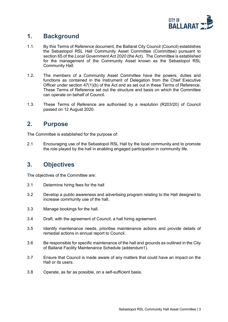

#### <span id="page-2-0"></span>**1. Background**

- 1.1. By this Terms of Reference document, the Ballarat City Council (Council) establishes the Sebastopol RSL Hall Community Asset Committee (Committee) pursuant to section 65 of the *Local Government Act 2020* (the Act). The Committee is established for the management of the Community Asset known as the Sebastopol RSL Community Hall.
- 1.2. The members of a Community Asset Committee have the powers, duties and functions as contained in the Instrument of Delegation from the Chief Executive Officer under section 47(1)(b) of the Act and as set out in these Terms of Reference. These Terms of Reference set out the structure and basis on which the Committee can operate on behalf of Council.
- 1.3. These Terms of Reference are authorised by a resolution (R203/20) of Council passed on 12 August 2020.

#### <span id="page-2-1"></span>**2. Purpose**

The Committee is established for the purpose of:

2.1 Encouraging use of the Sebastopol RSL Hall by the local community and to promote the role played by the hall in enabling engaged participation in community life.

## <span id="page-2-2"></span>**3. Objectives**

The objectives of the Committee are:

- 3.1 Determine hiring fees for the hall
- 3.2 Develop a public awareness and advertising program relating to the Hall designed to increase community use of the hall.
- 3.3 Manage bookings for the hall.
- 3.4 Draft, with the agreement of Council, a hall hiring agreement.
- 3.5 Identify maintenance needs, prioritise maintenance actions and provide details of remedial actions in annual report to Council.
- 3.6 Be responsible for specific maintenance of the hall and grounds as outlined in the City of Ballarat Facility Maintenance Schedule (addendum1).
- 3.7 Ensure that Council is made aware of any matters that could have an impact on the Hall or its users.
- 3.8 Operate, as far as possible, on a self-sufficient basis.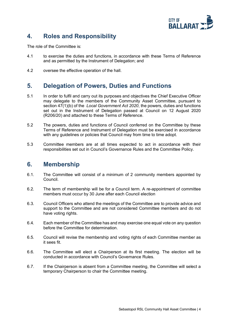

# <span id="page-3-0"></span>**4. Roles and Responsibility**

The role of the Committee is:

- 4.1 to exercise the duties and functions, in accordance with these Terms of Reference and as permitted by the Instrument of Delegation; and
- 4.2 oversee the effective operation of the hall.

#### <span id="page-3-1"></span>**5. Delegation of Powers, Duties and Functions**

- 5.1 In order to fulfil and carry out its purposes and objectives the Chief Executive Officer may delegate to the members of the Community Asset Committee, pursuant to section 47(1)(b) of the *Local Government Act 2020*, the powers, duties and functions set out in the Instrument of Delegation passed at Council on 12 August 2020 (R206/20) and attached to these Terms of Reference.
- 5.2 The powers, duties and functions of Council conferred on the Committee by these Terms of Reference and Instrument of Delegation must be exercised in accordance with any guidelines or policies that Council may from time to time adopt.
- 5.3 Committee members are at all times expected to act in accordance with their responsibilities set out in Council's Governance Rules and the Committee Policy.

#### <span id="page-3-2"></span>**6. Membership**

- 6.1. The Committee will consist of a minimum of 2 community members appointed by Council.
- 6.2. The term of membership will be for a Council term. A re-appointment of committee members must occur by 30 June after each Council election
- 6.3. Council Officers who attend the meetings of the Committee are to provide advice and support to the Committee and are not considered Committee members and do not have voting rights.
- 6.4. Each member of the Committee has and may exercise one equal vote on any question before the Committee for determination.
- 6.5. Council will revise the membership and voting rights of each Committee member as it sees fit.
- 6.6. The Committee will elect a Chairperson at its first meeting. The election will be conducted in accordance with Council's Governance Rules.
- 6.7. If the Chairperson is absent from a Committee meeting, the Committee will select a temporary Chairperson to chair the Committee meeting.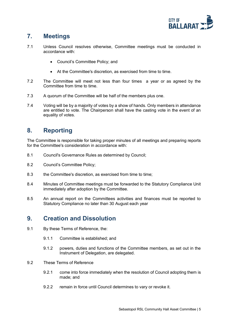

# <span id="page-4-0"></span>**7. Meetings**

- 7.1 Unless Council resolves otherwise, Committee meetings must be conducted in accordance with:
	- Council's Committee Policy; and
	- At the Committee's discretion, as exercised from time to time.
- 7.2 The Committee will meet not less than four times a year or as agreed by the Committee from time to time.
- 7.3 A quorum of the Committee will be half of the members plus one.
- 7.4 Voting will be by a majority of votes by a show of hands. Only members in attendance are entitled to vote. The Chairperson shall have the casting vote in the event of an equality of votes.

#### <span id="page-4-1"></span>**8. Reporting**

The Committee is responsible for taking proper minutes of all meetings and preparing reports for the Committee's consideration in accordance with:

- 8.1 Council's Governance Rules as determined by Council;
- 8.2 Council's Committee Policy;
- 8.3 the Committee's discretion, as exercised from time to time;
- 8.4 Minutes of Committee meetings must be forwarded to the Statutory Compliance Unit immediately after adoption by the Committee.
- 8.5 An annual report on the Committees activities and finances must be reported to Statutory Compliance no later than 30 August each year

#### <span id="page-4-2"></span>**9. Creation and Dissolution**

- 9.1 By these Terms of Reference, the:
	- 9.1.1 Committee is established; and
	- 9.1.2 powers, duties and functions of the Committee members, as set out in the Instrument of Delegation, are delegated.
- 9.2 These Terms of Reference
	- 9.2.1 come into force immediately when the resolution of Council adopting them is made; and
	- 9.2.2 remain in force until Council determines to vary or revoke it.